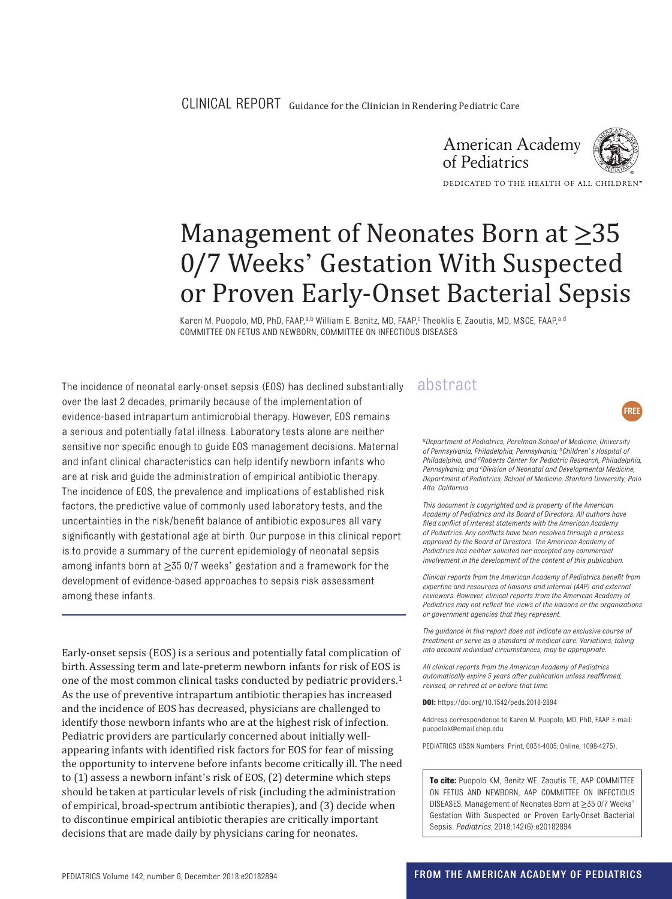



**FREE** 

DEDICATED TO THE HEALTH OF ALL CHILDREN

# Management of Neonates Born at ≥35 0/7 Weeks' Gestation With Suspected or Proven Early-Onset Bacterial Sepsis

Karen M. Puopolo, MD, PhD, FAAP,ª<sup>,b</sup> William E. Benitz, MD, FAAP,¢ Theoklis E. Zaoutis, MD, MSCE, FAAP,ª<sup>,d</sup> COMMITTEE ON FETUS AND NEWBORN, COMMITTEE ON INFECTIOUS DISEASES

The incidence of neonatal early-onset sepsis (EOS) has declined substantially over the last 2 decades, primarily because of the implementation of evidence-based intrapartum antimicrobial therapy. However, EOS remains a serious and potentially fatal illness. Laboratory tests alone are neither sensitive nor specific enough to guide EOS management decisions. Maternal and infant clinical characteristics can help identify newborn infants who are at risk and guide the administration of empirical antibiotic therapy. The incidence of EOS, the prevalence and implications of established risk factors, the predictive value of commonly used laboratory tests, and the uncertainties in the risk/benefit balance of antibiotic exposures all vary significantly with gestational age at birth. Our purpose in this clinical report is to provide a summary of the current epidemiology of neonatal sepsis among infants born at ≥35 0/7 weeks' gestation and a framework for the development of evidence-based approaches to sepsis risk assessment among these infants.

Early-onset sepsis (EOS) is a serious and potentially fatal complication of birth. Assessing term and late-preterm newborn infants for risk of EOS is one of the most common clinical tasks conducted by pediatric providers. [1](#page-7-0) As the use of preventive intrapartum antibiotic therapies has increased and the incidence of EOS has decreased, physicians are challenged to identify those newborn infants who are at the highest risk of infection. Pediatric providers are particularly concerned about initially wellappearing infants with identified risk factors for EOS for fear of missing the opportunity to intervene before infants become critically ill. The need to (1) assess a newborn infant's risk of EOS, (2) determine which steps should be taken at particular levels of risk (including the administration of empirical, broad-spectrum antibiotic therapies), and (3) decide when to discontinue empirical antibiotic therapies are critically important decisions that are made daily by physicians caring for neonates.

# abstract

*aDepartment of Pediatrics, Perelman School of Medicine, University of Pennsylvania, Philadelphia, Pennsylvania; bChildren's Hospital of Philadelphia, and dRoberts Center for Pediatric Research, Philadelphia,*  Pennsylvania; and <sup>c</sup>Division of Neonatal and Developmental Medicine, *Department of Pediatrics, School of Medicine, Stanford University, Palo Alto, California*

*This document is copyrighted and is property of the American Academy of Pediatrics and its Board of Directors. All authors have filed conflict of interest statements with the American Academy of Pediatrics. Any conflicts have been resolved through a process approved by the Board of Directors. The American Academy of Pediatrics has neither solicited nor accepted any commercial involvement in the development of the content of this publication.*

*Clinical reports from the American Academy of Pediatrics benefit from expertise and resources of liaisons and internal (AAP) and external reviewers. However, clinical reports from the American Academy of Pediatrics may not reflect the views of the liaisons or the organizations or government agencies that they represent.*

*The guidance in this report does not indicate an exclusive course of treatment or serve as a standard of medical care. Variations, taking into account individual circumstances, may be appropriate.*

*All clinical reports from the American Academy of Pediatrics automatically expire 5 years after publication unless reaffirmed, revised, or retired at or before that time.*

**DOI:**<https://doi.org/10.1542/peds.2018-2894>

Address correspondence to Karen M. Puopolo, MD, PhD, FAAP. E-mail: [puopolok@email.chop.edu](mailto:)

PEDIATRICS (ISSN Numbers: Print, 0031-4005; Online, 1098-4275).

**To cite:** Puopolo KM, Benitz WE, Zaoutis TE, AAP COMMITTEE ON FETUS AND NEWBORN, AAP COMMITTEE ON INFECTIOUS DISEASES. Management of Neonates Born at ≥35 0/7 Weeks' Gestation With Suspected or Proven Early-Onset Bacterial Sepsis. *Pediatrics.* 2018;142(6):e20182894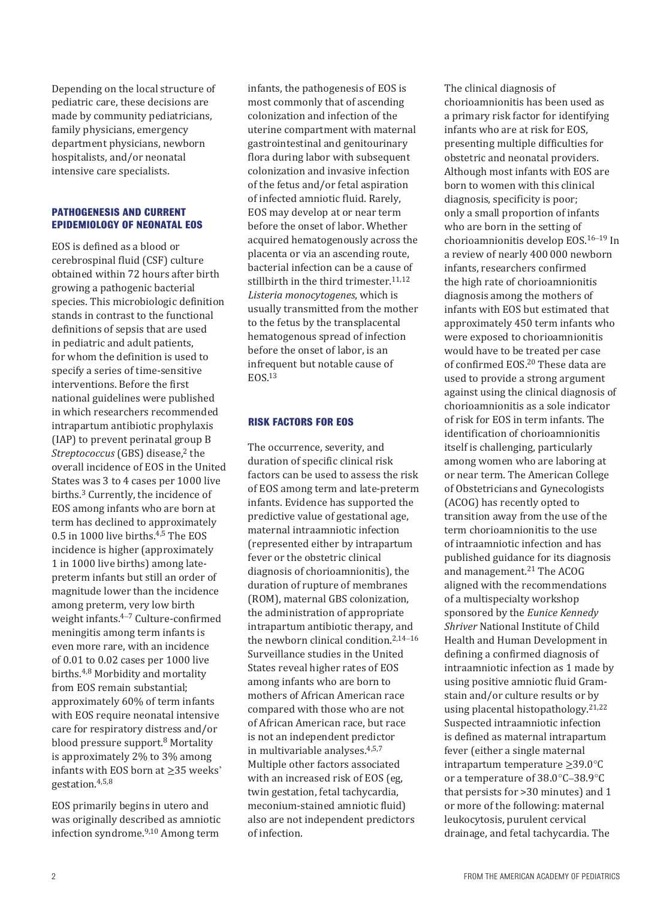Depending on the local structure of pediatric care, these decisions are made by community pediatricians, family physicians, emergency department physicians, newborn hospitalists, and/or neonatal intensive care specialists.

# **PATHOGENESIS AND CURRENT EPIDEMIOLOGY OF NEONATAL EOS**

EOS is defined as a blood or cerebrospinal fluid (CSF) culture obtained within 72 hours after birth growing a pathogenic bacterial species. This microbiologic definition stands in contrast to the functional definitions of sepsis that are used in pediatric and adult patients, for whom the definition is used to specify a series of time-sensitive interventions. Before the first national guidelines were published in which researchers recommended intrapartum antibiotic prophylaxis (IAP) to prevent perinatal group B Streptococcus (GBS) disease,<sup>[2](#page-7-1)</sup> the overall incidence of EOS in the United States was 3 to 4 cases per 1000 live births. [3](#page-7-2) Currently, the incidence of EOS among infants who are born at term has declined to approximately 0.5 in 1000 live births. [4](#page-7-3),[5](#page-7-4) The EOS incidence is higher (approximately 1 in 1000 live births) among latepreterm infants but still an order of magnitude lower than the incidence among preterm, very low birth weight infants.[4](#page-7-3)–[7](#page-7-5) Culture-confirmed meningitis among term infants is even more rare, with an incidence of 0.01 to 0.02 cases per 1000 live births. [4](#page-7-3)[,8](#page-7-6) Morbidity and mortality from EOS remain substantial; approximately 60% of term infants with EOS require neonatal intensive care for respiratory distress and/or blood pressure support. [8](#page-7-6) Mortality is approximately 2% to 3% among infants with EOS born at ≥35 weeks' gestation. [4](#page-7-3)[,5](#page-7-4),[8](#page-7-6)

EOS primarily begins in utero and was originally described as amniotic infection syndrome. [9,](#page-7-7)[10](#page-7-8) Among term

infants, the pathogenesis of EOS is most commonly that of ascending colonization and infection of the uterine compartment with maternal gastrointestinal and genitourinary flora during labor with subsequent colonization and invasive infection of the fetus and/or fetal aspiration of infected amniotic fluid. Rarely, EOS may develop at or near term before the onset of labor. Whether acquired hematogenously across the placenta or via an ascending route, bacterial infection can be a cause of stillbirth in the third trimester. [11,](#page-7-9)[12](#page-7-10) *Listeria monocytogenes*, which is usually transmitted from the mother to the fetus by the transplacental hematogenous spread of infection before the onset of labor, is an infrequent but notable cause of  $EOS.13$  $EOS.13$ 

# **RISK FACTORS FOR EOS**

The occurrence, severity, and duration of specific clinical risk factors can be used to assess the risk of EOS among term and late-preterm infants. Evidence has supported the predictive value of gestational age, maternal intraamniotic infection (represented either by intrapartum fever or the obstetric clinical diagnosis of chorioamnionitis), the duration of rupture of membranes (ROM), maternal GBS colonization, the administration of appropriate intrapartum antibiotic therapy, and the newborn clinical condition. [2](#page-7-1),[14](#page-7-12)–[16](#page-7-13) Surveillance studies in the United States reveal higher rates of EOS among infants who are born to mothers of African American race compared with those who are not of African American race, but race is not an independent predictor in multivariable analyses.[4](#page-7-3)[,5](#page-7-4),[7](#page-7-5) Multiple other factors associated with an increased risk of EOS (eg, twin gestation, fetal tachycardia, meconium-stained amniotic fluid) also are not independent predictors of infection.

The clinical diagnosis of chorioamnionitis has been used as a primary risk factor for identifying infants who are at risk for EOS, presenting multiple difficulties for obstetric and neonatal providers. Although most infants with EOS are born to women with this clinical diagnosis, specificity is poor; only a small proportion of infants who are born in the setting of chorioamnionitis develop EOS. [16](#page-7-13)–[19](#page-7-14) In a review of nearly 400000 newborn infants, researchers confirmed the high rate of chorioamnionitis diagnosis among the mothers of infants with EOS but estimated that approximately 450 term infants who were exposed to chorioamnionitis would have to be treated per case of confirmed EOS[.20](#page-7-15) These data are used to provide a strong argument against using the clinical diagnosis of chorioamnionitis as a sole indicator of risk for EOS in term infants. The identification of chorioamnionitis itself is challenging, particularly among women who are laboring at or near term. The American College of Obstetricians and Gynecologists (ACOG) has recently opted to transition away from the use of the term chorioamnionitis to the use of intraamniotic infection and has published guidance for its diagnosis and management. [21](#page-7-16) The ACOG aligned with the recommendations of a multispecialty workshop sponsored by the *Eunice Kennedy Shriver* National Institute of Child Health and Human Development in defining a confirmed diagnosis of intraamniotic infection as 1 made by using positive amniotic fluid Gramstain and/or culture results or by using placental histopathology. [21](#page-7-16),[22](#page-7-17) Suspected intraamniotic infection is defined as maternal intrapartum fever (either a single maternal intrapartum temperature ≥39.0°C or a temperature of 38.0°C–38.9°C that persists for >30 minutes) and 1 or more of the following: maternal leukocytosis, purulent cervical drainage, and fetal tachycardia. The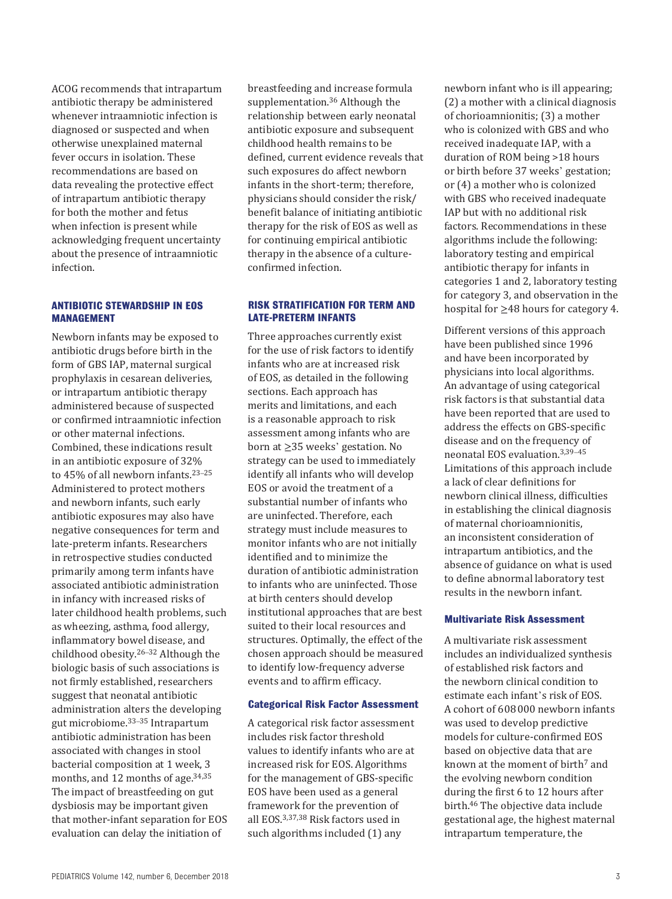ACOG recommends that intrapartum antibiotic therapy be administered whenever intraamniotic infection is diagnosed or suspected and when otherwise unexplained maternal fever occurs in isolation. These recommendations are based on data revealing the protective effect of intrapartum antibiotic therapy for both the mother and fetus when infection is present while acknowledging frequent uncertainty about the presence of intraamniotic infection.

## **ANTIBIOTIC STEWARDSHIP IN EOS MANAGEMENT**

Newborn infants may be exposed to antibiotic drugs before birth in the form of GBS IAP, maternal surgical prophylaxis in cesarean deliveries, or intrapartum antibiotic therapy administered because of suspected or confirmed intraamniotic infection or other maternal infections. Combined, these indications result in an antibiotic exposure of 32% to 45% of all newborn infants. [23](#page-7-18)–[25](#page-7-19) Administered to protect mothers and newborn infants, such early antibiotic exposures may also have negative consequences for term and late-preterm infants. Researchers in retrospective studies conducted primarily among term infants have associated antibiotic administration in infancy with increased risks of later childhood health problems, such as wheezing, asthma, food allergy, inflammatory bowel disease, and childhood obesity. [26](#page-8-0)–[32](#page-8-1) Although the biologic basis of such associations is not firmly established, researchers suggest that neonatal antibiotic administration alters the developing gut microbiome. [33](#page-8-2)–[35](#page-8-3) Intrapartum antibiotic administration has been associated with changes in stool bacterial composition at 1 week, 3 months, and 12 months of age. [34](#page-8-4)[,35](#page-8-3) The impact of breastfeeding on gut dysbiosis may be important given that mother-infant separation for EOS evaluation can delay the initiation of

breastfeeding and increase formula supplementation. [36](#page-8-5) Although the relationship between early neonatal antibiotic exposure and subsequent childhood health remains to be defined, current evidence reveals that such exposures do affect newborn infants in the short-term; therefore, physicians should consider the risk/ benefit balance of initiating antibiotic therapy for the risk of EOS as well as for continuing empirical antibiotic therapy in the absence of a cultureconfirmed infection.

## **RISK STRATIFICATION FOR TERM AND LATE-PRETERM INFANTS**

Three approaches currently exist for the use of risk factors to identify infants who are at increased risk of EOS, as detailed in the following sections. Each approach has merits and limitations, and each is a reasonable approach to risk assessment among infants who are born at ≥35 weeks' gestation. No strategy can be used to immediately identify all infants who will develop EOS or avoid the treatment of a substantial number of infants who are uninfected. Therefore, each strategy must include measures to monitor infants who are not initially identified and to minimize the duration of antibiotic administration to infants who are uninfected. Those at birth centers should develop institutional approaches that are best suited to their local resources and structures. Optimally, the effect of the chosen approach should be measured to identify low-frequency adverse events and to affirm efficacy.

#### **Categorical Risk Factor Assessment**

A categorical risk factor assessment includes risk factor threshold values to identify infants who are at increased risk for EOS. Algorithms for the management of GBS-specific EOS have been used as a general framework for the prevention of all EOS. [3](#page-7-2)[,37,](#page-8-6)[38](#page-8-7) Risk factors used in such algorithms included (1) any

newborn infant who is ill appearing; (2) a mother with a clinical diagnosis of chorioamnionitis; (3) a mother who is colonized with GBS and who received inadequate IAP, with a duration of ROM being >18 hours or birth before 37 weeks' gestation; or (4) a mother who is colonized with GBS who received inadequate IAP but with no additional risk factors. Recommendations in these algorithms include the following: laboratory testing and empirical antibiotic therapy for infants in categories 1 and 2, laboratory testing for category 3, and observation in the hospital for ≥48 hours for category 4.

Different versions of this approach have been published since 1996 and have been incorporated by physicians into local algorithms. An advantage of using categorical risk factors is that substantial data have been reported that are used to address the effects on GBS-specific disease and on the frequency of neonatal EOS evaluation. [3](#page-7-2),[39](#page-8-8)–[45](#page-8-9) Limitations of this approach include a lack of clear definitions for newborn clinical illness, difficulties in establishing the clinical diagnosis of maternal chorioamnionitis, an inconsistent consideration of intrapartum antibiotics, and the absence of guidance on what is used to define abnormal laboratory test results in the newborn infant.

## **Multivariate Risk Assessment**

A multivariate risk assessment includes an individualized synthesis of established risk factors and the newborn clinical condition to estimate each infant's risk of EOS. A cohort of 608000 newborn infants was used to develop predictive models for culture-confirmed EOS based on objective data that are known at the moment of birth<sup>[7](#page-7-5)</sup> and the evolving newborn condition during the first 6 to 12 hours after birth. [46](#page-8-10) The objective data include gestational age, the highest maternal intrapartum temperature, the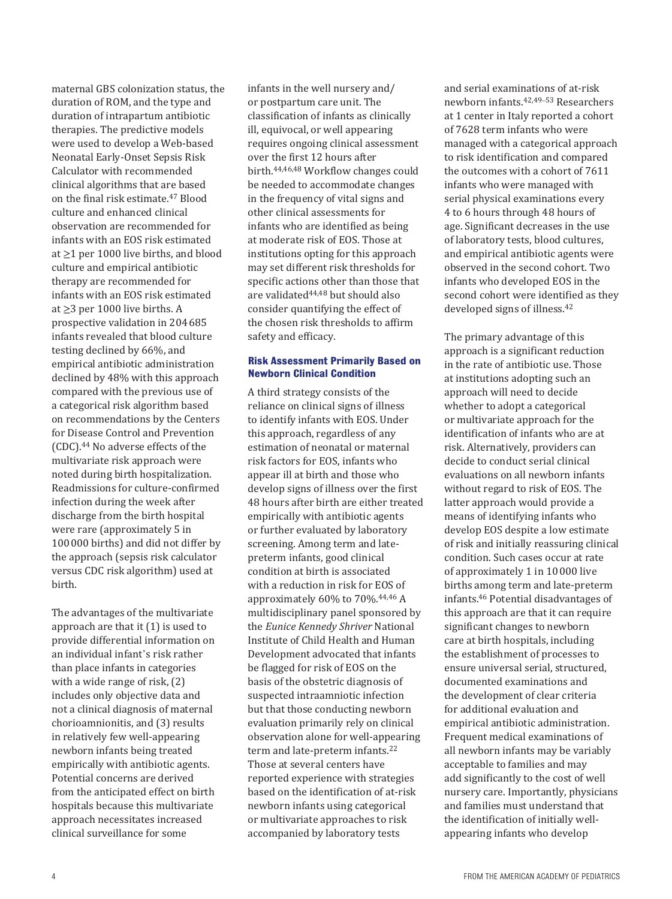maternal GBS colonization status, the duration of ROM, and the type and duration of intrapartum antibiotic therapies. The predictive models were used to develop a Web-based Neonatal Early-Onset Sepsis Risk Calculator with recommended clinical algorithms that are based on the final risk estimate. [47](#page-8-11) Blood culture and enhanced clinical observation are recommended for infants with an EOS risk estimated at ≥1 per 1000 live births, and blood culture and empirical antibiotic therapy are recommended for infants with an EOS risk estimated at ≥3 per 1000 live births. A prospective validation in 204685 infants revealed that blood culture testing declined by 66%, and empirical antibiotic administration declined by 48% with this approach compared with the previous use of a categorical risk algorithm based on recommendations by the Centers for Disease Control and Prevention (CDC). [44](#page-8-12) No adverse effects of the multivariate risk approach were noted during birth hospitalization. Readmissions for culture-confirmed infection during the week after discharge from the birth hospital were rare (approximately 5 in 100000 births) and did not differ by the approach (sepsis risk calculator versus CDC risk algorithm) used at birth.

The advantages of the multivariate approach are that it (1) is used to provide differential information on an individual infant's risk rather than place infants in categories with a wide range of risk, (2) includes only objective data and not a clinical diagnosis of maternal chorioamnionitis, and (3) results in relatively few well-appearing newborn infants being treated empirically with antibiotic agents. Potential concerns are derived from the anticipated effect on birth hospitals because this multivariate approach necessitates increased clinical surveillance for some

infants in the well nursery and/ or postpartum care unit. The classification of infants as clinically ill, equivocal, or well appearing requires ongoing clinical assessment over the first 12 hours after birth. [44,](#page-8-12)[46](#page-8-10),[48](#page-8-13) Workflow changes could be needed to accommodate changes in the frequency of vital signs and other clinical assessments for infants who are identified as being at moderate risk of EOS. Those at institutions opting for this approach may set different risk thresholds for specific actions other than those that are validated[44](#page-8-12),[48](#page-8-13) but should also consider quantifying the effect of the chosen risk thresholds to affirm safety and efficacy.

# **Risk Assessment Primarily Based on Newborn Clinical Condition**

A third strategy consists of the reliance on clinical signs of illness to identify infants with EOS. Under this approach, regardless of any estimation of neonatal or maternal risk factors for EOS, infants who appear ill at birth and those who develop signs of illness over the first 48 hours after birth are either treated empirically with antibiotic agents or further evaluated by laboratory screening. Among term and latepreterm infants, good clinical condition at birth is associated with a reduction in risk for EOS of approximately 60% to 70%. [44](#page-8-12)[,46](#page-8-10) A multidisciplinary panel sponsored by the *Eunice Kennedy Shriver* National Institute of Child Health and Human Development advocated that infants be flagged for risk of EOS on the basis of the obstetric diagnosis of suspected intraamniotic infection but that those conducting newborn evaluation primarily rely on clinical observation alone for well-appearing term and late-preterm infants. [22](#page-7-17) Those at several centers have reported experience with strategies based on the identification of at-risk newborn infants using categorical or multivariate approaches to risk accompanied by laboratory tests

and serial examinations of at-risk newborn infants. [42](#page-8-14),[49](#page-8-15)–[53](#page-8-16) Researchers at 1 center in Italy reported a cohort of 7628 term infants who were managed with a categorical approach to risk identification and compared the outcomes with a cohort of 7611 infants who were managed with serial physical examinations every 4 to 6 hours through 48 hours of age. Significant decreases in the use of laboratory tests, blood cultures, and empirical antibiotic agents were observed in the second cohort. Two infants who developed EOS in the second cohort were identified as they developed signs of illness.[42](#page-8-14)

The primary advantage of this approach is a significant reduction in the rate of antibiotic use. Those at institutions adopting such an approach will need to decide whether to adopt a categorical or multivariate approach for the identification of infants who are at risk. Alternatively, providers can decide to conduct serial clinical evaluations on all newborn infants without regard to risk of EOS. The latter approach would provide a means of identifying infants who develop EOS despite a low estimate of risk and initially reassuring clinical condition. Such cases occur at rate of approximately 1 in 10000 live births among term and late-preterm infants. [46](#page-8-10) Potential disadvantages of this approach are that it can require significant changes to newborn care at birth hospitals, including the establishment of processes to ensure universal serial, structured, documented examinations and the development of clear criteria for additional evaluation and empirical antibiotic administration. Frequent medical examinations of all newborn infants may be variably acceptable to families and may add significantly to the cost of well nursery care. Importantly, physicians and families must understand that the identification of initially wellappearing infants who develop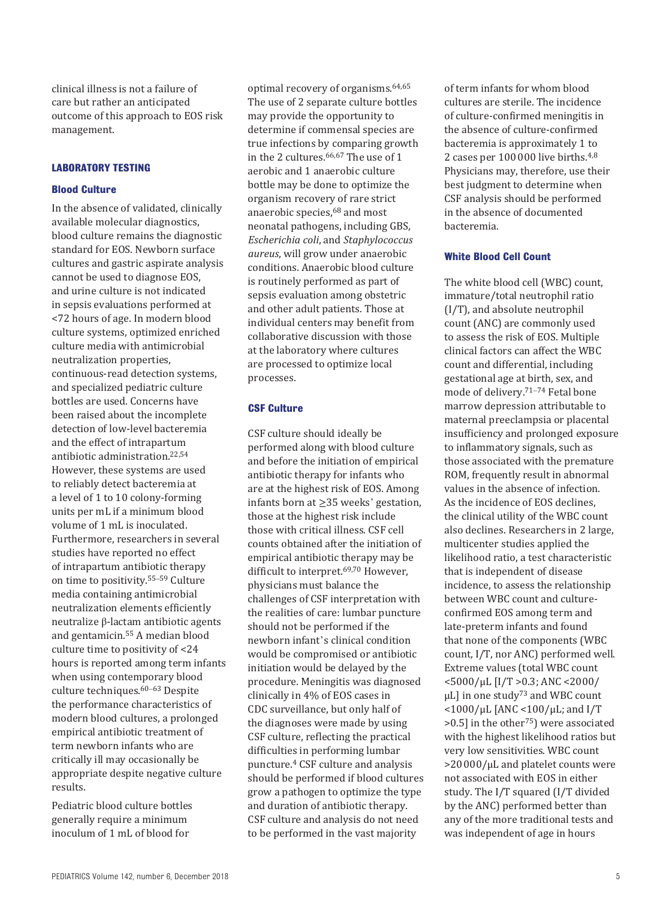clinical illness is not a failure of care but rather an anticipated outcome of this approach to EOS risk management.

## **LABORATORY TESTING**

### **Blood Culture**

In the absence of validated, clinically available molecular diagnostics, blood culture remains the diagnostic standard for EOS. Newborn surface cultures and gastric aspirate analysis cannot be used to diagnose EOS, and urine culture is not indicated in sepsis evaluations performed at <72 hours of age. In modern blood culture systems, optimized enriched culture media with antimicrobial neutralization properties, continuous-read detection systems, and specialized pediatric culture bottles are used. Concerns have been raised about the incomplete detection of low-level bacteremia and the effect of intrapartum antibiotic administration. [22,](#page-7-17)[54](#page-8-17) However, these systems are used to reliably detect bacteremia at a level of 1 to 10 colony-forming units per mL if a minimum blood volume of 1 mL is inoculated. Furthermore, researchers in several studies have reported no effect of intrapartum antibiotic therapy on time to positivity. [55](#page-9-0)–[59](#page-9-1) Culture media containing antimicrobial neutralization elements efficiently neutralize β-lactam antibiotic agents and gentamicin. [55](#page-9-0) A median blood culture time to positivity of <24 hours is reported among term infants when using contemporary blood culture techniques. [60](#page-9-2)–[63](#page-9-3) Despite the performance characteristics of modern blood cultures, a prolonged empirical antibiotic treatment of term newborn infants who are critically ill may occasionally be appropriate despite negative culture results.

Pediatric blood culture bottles generally require a minimum inoculum of 1 mL of blood for

optimal recovery of organisms. [64](#page-9-4)[,65](#page-9-5) The use of 2 separate culture bottles may provide the opportunity to determine if commensal species are true infections by comparing growth in the 2 cultures. [66](#page-9-6)[,67](#page-9-7) The use of 1 aerobic and 1 anaerobic culture bottle may be done to optimize the organism recovery of rare strict anaerobic species,<sup>[68](#page-9-8)</sup> and most neonatal pathogens, including GBS, *Escherichia coli*, and *Staphylococcus aureus*, will grow under anaerobic conditions. Anaerobic blood culture is routinely performed as part of sepsis evaluation among obstetric and other adult patients. Those at individual centers may benefit from collaborative discussion with those at the laboratory where cultures are processed to optimize local processes.

## **CSF Culture**

CSF culture should ideally be performed along with blood culture and before the initiation of empirical antibiotic therapy for infants who are at the highest risk of EOS. Among infants born at ≥35 weeks' gestation, those at the highest risk include those with critical illness. CSF cell counts obtained after the initiation of empirical antibiotic therapy may be difficult to interpret. [69](#page-9-9)[,70](#page-9-10) However, physicians must balance the challenges of CSF interpretation with the realities of care: lumbar puncture should not be performed if the newborn infant's clinical condition would be compromised or antibiotic initiation would be delayed by the procedure. Meningitis was diagnosed clinically in 4% of EOS cases in CDC surveillance, but only half of the diagnoses were made by using CSF culture, reflecting the practical difficulties in performing lumbar puncture. [4](#page-7-3) CSF culture and analysis should be performed if blood cultures grow a pathogen to optimize the type and duration of antibiotic therapy. CSF culture and analysis do not need to be performed in the vast majority

of term infants for whom blood cultures are sterile. The incidence of culture-confirmed meningitis in the absence of culture-confirmed bacteremia is approximately 1 to 2 cases per  $100000$  live births. $4,8$  $4,8$ Physicians may, therefore, use their best judgment to determine when CSF analysis should be performed in the absence of documented bacteremia.

#### **White Blood Cell Count**

The white blood cell (WBC) count, immature/total neutrophil ratio (I/T), and absolute neutrophil count (ANC) are commonly used to assess the risk of EOS. Multiple clinical factors can affect the WBC count and differential, including gestational age at birth, sex, and mode of delivery. [71](#page-9-11)–[74](#page-9-12) Fetal bone marrow depression attributable to maternal preeclampsia or placental insufficiency and prolonged exposure to inflammatory signals, such as those associated with the premature ROM, frequently result in abnormal values in the absence of infection. As the incidence of EOS declines, the clinical utility of the WBC count also declines. Researchers in 2 large, multicenter studies applied the likelihood ratio, a test characteristic that is independent of disease incidence, to assess the relationship between WBC count and cultureconfirmed EOS among term and late-preterm infants and found that none of the components (WBC count, I/T, nor ANC) performed well. Extreme values (total WBC count  $<$ 5000/ $\mu$ L [I/T > 0.3; ANC < 2000/  $\mu L$ ] in one study<sup>73</sup> and WBC count  $<$ 1000/μL [ANC  $<$ 100/μL; and I/T  $>0.5$ ] in the othe[r](#page-9-14)<sup>75</sup>) were associated with the highest likelihood ratios but very low sensitivities. WBC count >20000/μL and platelet counts were not associated with EOS in either study. The I/T squared (I/T divided by the ANC) performed better than any of the more traditional tests and was independent of age in hours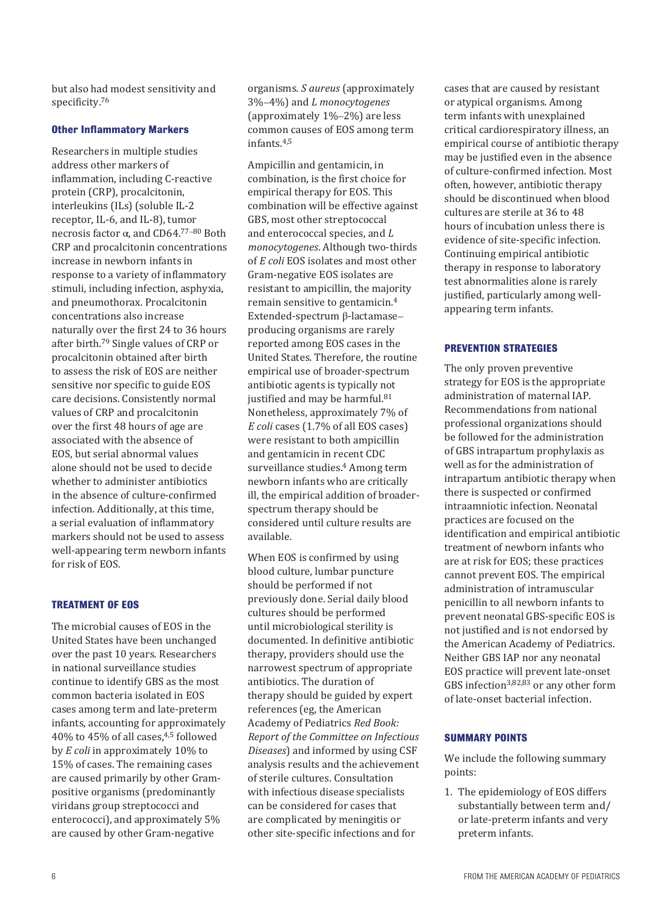but also had modest sensitivity and specificity. [76](#page-9-15)

## **Other Inflammatory Markers**

Researchers in multiple studies address other markers of inflammation, including C-reactive protein (CRP), procalcitonin, interleukins (ILs) (soluble IL-2 receptor, IL-6, and IL-8), tumor necrosis factor α, and CD64. [77](#page-9-16)–[80](#page-9-17) Both CRP and procalcitonin concentrations increase in newborn infants in response to a variety of inflammatory stimuli, including infection, asphyxia, and pneumothorax. Procalcitonin concentrations also increase naturally over the first 24 to 36 hours after birth.[79](#page-9-18) Single values of CRP or procalcitonin obtained after birth to assess the risk of EOS are neither sensitive nor specific to guide EOS care decisions. Consistently normal values of CRP and procalcitonin over the first 48 hours of age are associated with the absence of EOS, but serial abnormal values alone should not be used to decide whether to administer antibiotics in the absence of culture-confirmed infection. Additionally, at this time, a serial evaluation of inflammatory markers should not be used to assess well-appearing term newborn infants for risk of EOS.

# **TREATMENT OF EOS**

The microbial causes of EOS in the United States have been unchanged over the past 10 years. Researchers in national surveillance studies continue to identify GBS as the most common bacteria isolated in EOS cases among term and late-preterm infants, accounting for approximately 40% to 45% of all cases, $4.5$  followed by *E coli* in approximately 10% to 15% of cases. The remaining cases are caused primarily by other Grampositive organisms (predominantly viridans group streptococci and enterococci), and approximately 5% are caused by other Gram-negative

organisms. *S aureus* (approximately 3%–4%) and *L monocytogenes* (approximately 1%–2%) are less common causes of EOS among term infants. [4,](#page-7-3)[5](#page-7-4)

Ampicillin and gentamicin, in combination, is the first choice for empirical therapy for EOS. This combination will be effective against GBS, most other streptococcal and enterococcal species, and *L monocytogenes*. Although two-thirds of *E coli* EOS isolates and most other Gram-negative EOS isolates are resistant to ampicillin, the majority remain sensitive to gentamicin. [4](#page-7-3) Extended-spectrum β-lactamase– producing organisms are rarely reported among EOS cases in the United States. Therefore, the routine empirical use of broader-spectrum antibiotic agents is typically not justified and may be harmful. [81](#page-9-19) Nonetheless, approximately 7% of *E coli* cases (1.7% of all EOS cases) were resistant to both ampicillin and gentamicin in recent CDC surveillance studies. [4](#page-7-3) Among term newborn infants who are critically ill, the empirical addition of broaderspectrum therapy should be considered until culture results are available.

When EOS is confirmed by using blood culture, lumbar puncture should be performed if not previously done. Serial daily blood cultures should be performed until microbiological sterility is documented. In definitive antibiotic therapy, providers should use the narrowest spectrum of appropriate antibiotics. The duration of therapy should be guided by expert references (eg, the American Academy of Pediatrics *Red Book: Report of the Committee on Infectious Diseases*) and informed by using CSF analysis results and the achievement of sterile cultures. Consultation with infectious disease specialists can be considered for cases that are complicated by meningitis or other site-specific infections and for

cases that are caused by resistant or atypical organisms. Among term infants with unexplained critical cardiorespiratory illness, an empirical course of antibiotic therapy may be justified even in the absence of culture-confirmed infection. Most often, however, antibiotic therapy should be discontinued when blood cultures are sterile at 36 to 48 hours of incubation unless there is evidence of site-specific infection. Continuing empirical antibiotic therapy in response to laboratory test abnormalities alone is rarely justified, particularly among wellappearing term infants.

## **PREVENTION STRATEGIES**

The only proven preventive strategy for EOS is the appropriate administration of maternal IAP. Recommendations from national professional organizations should be followed for the administration of GBS intrapartum prophylaxis as well as for the administration of intrapartum antibiotic therapy when there is suspected or confirmed intraamniotic infection. Neonatal practices are focused on the identification and empirical antibiotic treatment of newborn infants who are at risk for EOS; these practices cannot prevent EOS. The empirical administration of intramuscular penicillin to all newborn infants to prevent neonatal GBS-specific EOS is not justified and is not endorsed by the American Academy of Pediatrics. Neither GBS IAP nor any neonatal EOS practice will prevent late-onset GBS i[n](#page-7-2)fection<sup>[3](#page-7-2)[,82,](#page-9-20)[83](#page-9-21)</sup> or any other form of late-onset bacterial infection.

# **SUMMARY POINTS**

We include the following summary points:

1. The epidemiology of EOS differs substantially between term and/ or late-preterm infants and very preterm infants.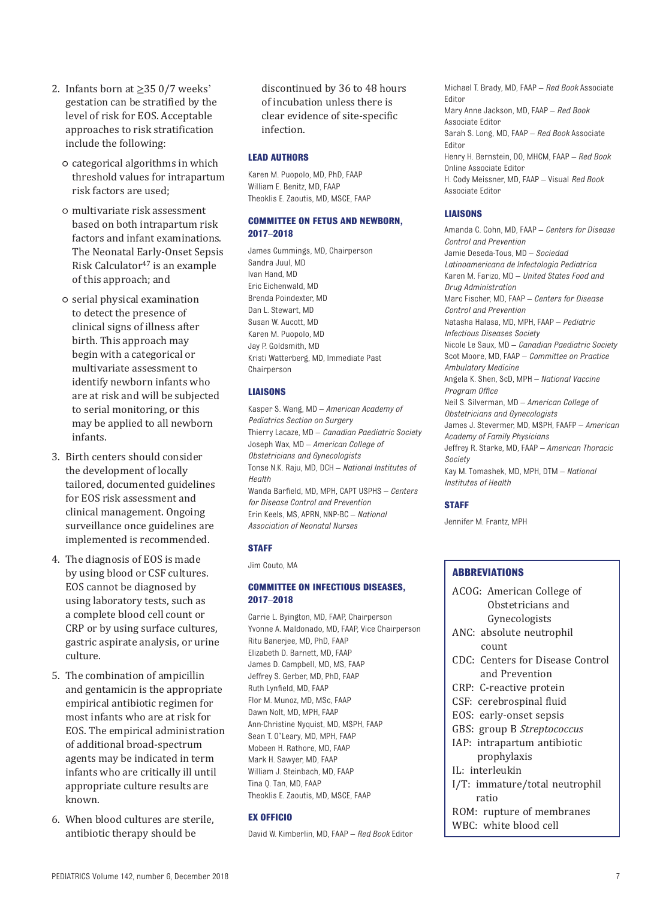- 2. Infants born at ≥35 0/7 weeks' gestation can be stratified by the level of risk for EOS. Acceptable approaches to risk stratification include the following:
	- ⚬ categorical algorithms in which threshold values for intrapartum risk factors are used;
	- ⚬ multivariate risk assessment based on both intrapartum risk factors and infant examinations. The Neonatal Early-Onset Sepsis Risk Calculator[47](#page-8-11) is an example of this approach; and
	- ⚬ serial physical examination to detect the presence of clinical signs of illness after birth. This approach may begin with a categorical or multivariate assessment to identify newborn infants who are at risk and will be subjected to serial monitoring, or this may be applied to all newborn infants.
- 3. Birth centers should consider the development of locally tailored, documented guidelines for EOS risk assessment and clinical management. Ongoing surveillance once guidelines are implemented is recommended.
- 4. The diagnosis of EOS is made by using blood or CSF cultures. EOS cannot be diagnosed by using laboratory tests, such as a complete blood cell count or CRP or by using surface cultures, gastric aspirate analysis, or urine culture.
- 5. The combination of ampicillin and gentamicin is the appropriate empirical antibiotic regimen for most infants who are at risk for EOS. The empirical administration of additional broad-spectrum agents may be indicated in term infants who are critically ill until appropriate culture results are known.
- 6. When blood cultures are sterile, antibiotic therapy should be

discontinued by 36 to 48 hours of incubation unless there is clear evidence of site-specific infection.

## **LEAD AUTHORS**

Karen M. Puopolo, MD, PhD, FAAP William E. Benitz, MD, FAAP Theoklis E. Zaoutis, MD, MSCE, FAAP

## **COMMITTEE ON FETUS AND NEWBORN, 2017**–**2018**

James Cummings, MD, Chairperson Sandra Juul, MD Ivan Hand, MD Eric Eichenwald, MD Brenda Poindexter, MD Dan L. Stewart, MD Susan W. Aucott, MD Karen M. Puopolo, MD Jay P. Goldsmith, MD Kristi Watterberg, MD, Immediate Past Chairperson

## **LIAISONS**

Kasper S. Wang, MD – *American Academy of Pediatrics Section on Surgery* Thierry Lacaze, MD – *Canadian Paediatric Society* Joseph Wax, MD – *American College of Obstetricians and Gynecologists* Tonse N.K. Raju, MD, DCH – *National Institutes of Health* Wanda Barfield, MD, MPH, CAPT USPHS – *Centers for Disease Control and Prevention* Erin Keels, MS, APRN, NNP-BC – *National Association of Neonatal Nurses*

#### **STAFF**

Jim Couto, MA

#### **COMMITTEE ON INFECTIOUS DISEASES, 2017**–**2018**

Carrie L. Byington, MD, FAAP, Chairperson Yvonne A. Maldonado, MD, FAAP, Vice Chairperson Ritu Banerjee, MD, PhD, FAAP Elizabeth D. Barnett, MD, FAAP James D. Campbell, MD, MS, FAAP Jeffrey S. Gerber, MD, PhD, FAAP Ruth Lynfield, MD, FAAP Flor M. Munoz, MD, MSc, FAAP Dawn Nolt, MD, MPH, FAAP Ann-Christine Nyquist, MD, MSPH, FAAP Sean T. O'Leary, MD, MPH, FAAP Mobeen H. Rathore, MD, FAAP Mark H. Sawyer, MD, FAAP William J. Steinbach, MD, FAAP Tina Q. Tan, MD, FAAP Theoklis E. Zaoutis, MD, MSCE, FAAP

## **EX OFFICIO**

David W. Kimberlin, MD, FAAP – *Red Book* Editor

Michael T. Brady, MD, FAAP – *Red Book* Associate Editor Mary Anne Jackson, MD, FAAP – *Red Book* Associate Editor Sarah S. Long, MD, FAAP – *Red Book* Associate Editor Henry H. Bernstein, DO, MHCM, FAAP – *Red Book* Online Associate Editor H. Cody Meissner, MD, FAAP – Visual *Red Book* Associate Editor

## **LIAISONS**

Amanda C. Cohn, MD, FAAP – *Centers for Disease Control and Prevention* Jamie Deseda-Tous, MD – *Sociedad Latinoamericana de Infectologia Pediatrica* Karen M. Farizo, MD – *United States Food and Drug Administration* Marc Fischer, MD, FAAP – *Centers for Disease Control and Prevention* Natasha Halasa, MD, MPH, FAAP – *Pediatric Infectious Diseases Society* Nicole Le Saux, MD – *Canadian Paediatric Society* Scot Moore, MD, FAAP – *Committee on Practice Ambulatory Medicine* Angela K. Shen, ScD, MPH – *National Vaccine Program Office* Neil S. Silverman, MD – *American College of Obstetricians and Gynecologists* James J. Stevermer, MD, MSPH, FAAFP – *American Academy of Family Physicians* Jeffrey R. Starke, MD, FAAP – *American Thoracic Society* Kay M. Tomashek, MD, MPH, DTM – *National Institutes of Health*

#### **STAFF**

Jennifer M. Frantz, MPH

## **ABBREVIATIONS**

ACOG: American College of Obstetricians and Gynecologists ANC: absolute neutrophil count CDC: Centers for Disease Control and Prevention CRP: C-reactive protein CSF: cerebrospinal fluid EOS: early-onset sepsis GBS: group B *Streptococcus* IAP: intrapartum antibiotic prophylaxis IL: interleukin I/T: immature/total neutrophil ratio ROM: rupture of membranes WBC: white blood cell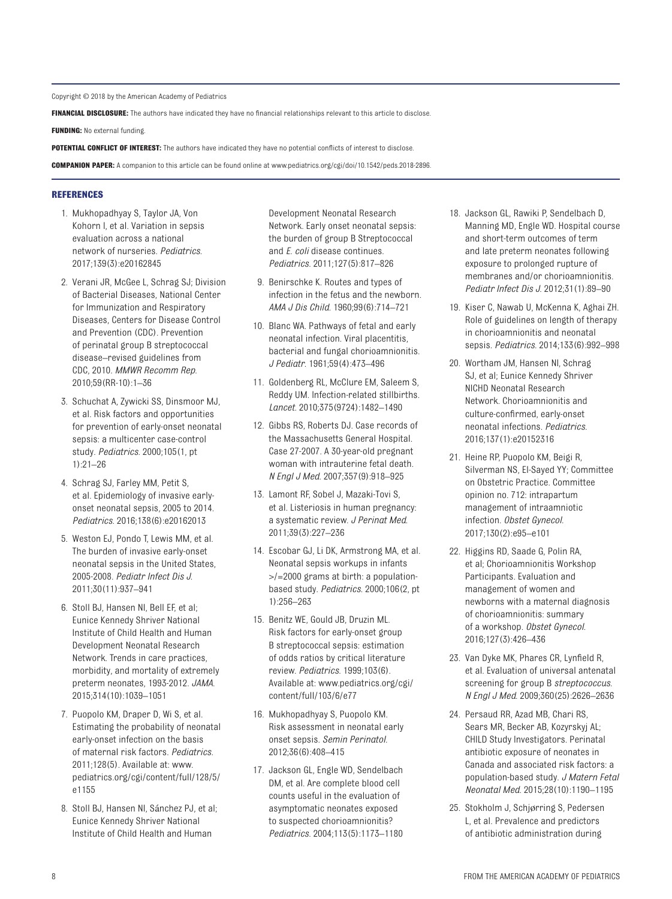Copyright © 2018 by the American Academy of Pediatrics

FINANCIAL DISCLOSURE: The authors have indicated they have no financial relationships relevant to this article to disclose.

**FUNDING:** No external funding.

**POTENTIAL CONFLICT OF INTEREST:** The authors have indicated they have no potential conflicts of interest to disclose.

**COMPANION PAPER:** A companion to this article can be found online at [www.pediatrics.org/cgi/doi/10.1542/peds.2018-2896](http://www.pediatrics.org/cgi/doi/10.1542/peds.2018-2896).

#### **REFERENCES**

- <span id="page-7-0"></span>1. Mukhopadhyay S, Taylor JA, Von Kohorn I, et al. Variation in sepsis evaluation across a national network of nurseries. *Pediatrics*. 2017;139(3):e20162845
- <span id="page-7-1"></span>2. Verani JR, McGee L, Schrag SJ; Division of Bacterial Diseases, National Center for Immunization and Respiratory Diseases, Centers for Disease Control and Prevention (CDC). Prevention of perinatal group B streptococcal disease–revised guidelines from CDC, 2010. *MMWR Recomm Rep*. 2010;59(RR-10):1–36
- <span id="page-7-2"></span>3. Schuchat A, Zywicki SS, Dinsmoor MJ, et al. Risk factors and opportunities for prevention of early-onset neonatal sepsis: a multicenter case-control study. *Pediatrics*. 2000;105(1, pt 1):21–26
- <span id="page-7-3"></span>4. Schrag SJ, Farley MM, Petit S, et al. Epidemiology of invasive earlyonset neonatal sepsis, 2005 to 2014. *Pediatrics*. 2016;138(6):e20162013
- <span id="page-7-4"></span>5. Weston EJ, Pondo T, Lewis MM, et al. The burden of invasive early-onset neonatal sepsis in the United States, 2005-2008. *Pediatr Infect Dis J*. 2011;30(11):937–941
- 6. Stoll BJ, Hansen NI, Bell EF, et al; Eunice Kennedy Shriver National Institute of Child Health and Human Development Neonatal Research Network. Trends in care practices, morbidity, and mortality of extremely preterm neonates, 1993-2012. *JAMA*. 2015;314(10):1039–1051
- <span id="page-7-5"></span>7. Puopolo KM, Draper D, Wi S, et al. Estimating the probability of neonatal early-onset infection on the basis of maternal risk factors. *Pediatrics*. 2011;128(5). Available at: [www.](www.pediatrics.org/cgi/content/full/128/5/e1155) [pediatrics.org/cgi/content/full/128/5/](www.pediatrics.org/cgi/content/full/128/5/e1155) [e1155](www.pediatrics.org/cgi/content/full/128/5/e1155)
- <span id="page-7-6"></span>8. Stoll BJ, Hansen NI, Sánchez PJ, et al; Eunice Kennedy Shriver National Institute of Child Health and Human

Development Neonatal Research Network. Early onset neonatal sepsis: the burden of group B Streptococcal and *E. coli* disease continues. *Pediatrics*. 2011;127(5):817–826

- <span id="page-7-7"></span>9. Benirschke K. Routes and types of infection in the fetus and the newborn. *AMA J Dis Child*. 1960;99(6):714–721
- <span id="page-7-8"></span>10. Blanc WA. Pathways of fetal and early neonatal infection. Viral placentitis, bacterial and fungal chorioamnionitis. *J Pediatr*. 1961;59(4):473–496
- <span id="page-7-9"></span>11. Goldenberg RL, McClure EM, Saleem S, Reddy UM. Infection-related stillbirths. *Lancet*. 2010;375(9724):1482–1490
- <span id="page-7-10"></span>12. Gibbs RS, Roberts DJ. Case records of the Massachusetts General Hospital. Case 27-2007. A 30-year-old pregnant woman with intrauterine fetal death. *N Engl J Med*. 2007;357(9):918–925
- <span id="page-7-11"></span>13. Lamont RF, Sobel J, Mazaki-Tovi S, et al. Listeriosis in human pregnancy: a systematic review. *J Perinat Med*. 2011;39(3):227–236
- <span id="page-7-12"></span>14. Escobar GJ, Li DK, Armstrong MA, et al. Neonatal sepsis workups in infants >/=2000 grams at birth: a populationbased study. *Pediatrics*. 2000;106(2, pt 1):256–263
- 15. Benitz WE, Gould JB, Druzin ML. Risk factors for early-onset group B streptococcal sepsis: estimation of odds ratios by critical literature review. *Pediatrics*. 1999;103(6). Available at: [www.pediatrics.org/cgi/](www.pediatrics.org/cgi/content/full/103/6/e77) [content/full/103/6/e77](www.pediatrics.org/cgi/content/full/103/6/e77)
- <span id="page-7-13"></span>16. Mukhopadhyay S, Puopolo KM. Risk assessment in neonatal early onset sepsis. *Semin Perinatol*. 2012;36(6):408–415
- 17. Jackson GL, Engle WD, Sendelbach DM, et al. Are complete blood cell counts useful in the evaluation of asymptomatic neonates exposed to suspected chorioamnionitis? *Pediatrics*. 2004;113(5):1173–1180
- 18. Jackson GL, Rawiki P, Sendelbach D, Manning MD, Engle WD. Hospital course and short-term outcomes of term and late preterm neonates following exposure to prolonged rupture of membranes and/or chorioamnionitis. *Pediatr Infect Dis J*. 2012;31(1):89–90
- <span id="page-7-14"></span>19. Kiser C, Nawab U, McKenna K, Aghai ZH. Role of guidelines on length of therapy in chorioamnionitis and neonatal sepsis. *Pediatrics*. 2014;133(6):992–998
- <span id="page-7-15"></span>20. Wortham JM, Hansen NI, Schrag SJ, et al; Eunice Kennedy Shriver NICHD Neonatal Research Network. Chorioamnionitis and culture-confirmed, early-onset neonatal infections. *Pediatrics*. 2016;137(1):e20152316
- <span id="page-7-16"></span>21. Heine RP, Puopolo KM, Beigi R, Silverman NS, El-Sayed YY; Committee on Obstetric Practice. Committee opinion no. 712: intrapartum management of intraamniotic infection. *Obstet Gynecol*. 2017;130(2):e95–e101
- <span id="page-7-17"></span>22. Higgins RD, Saade G, Polin RA, et al; Chorioamnionitis Workshop Participants. Evaluation and management of women and newborns with a maternal diagnosis of chorioamnionitis: summary of a workshop. *Obstet Gynecol*. 2016;127(3):426–436
- <span id="page-7-18"></span>23. Van Dyke MK, Phares CR, Lynfield R, et al. Evaluation of universal antenatal screening for group B *streptococcus*. *N Engl J Med*. 2009;360(25):2626–2636
- 24. Persaud RR, Azad MB, Chari RS, Sears MR, Becker AB, Kozyrskyj AL; CHILD Study Investigators. Perinatal antibiotic exposure of neonates in Canada and associated risk factors: a population-based study. *J Matern Fetal Neonatal Med*. 2015;28(10):1190–1195
- <span id="page-7-19"></span>25. Stokholm J, Schjørring S, Pedersen L, et al. Prevalence and predictors of antibiotic administration during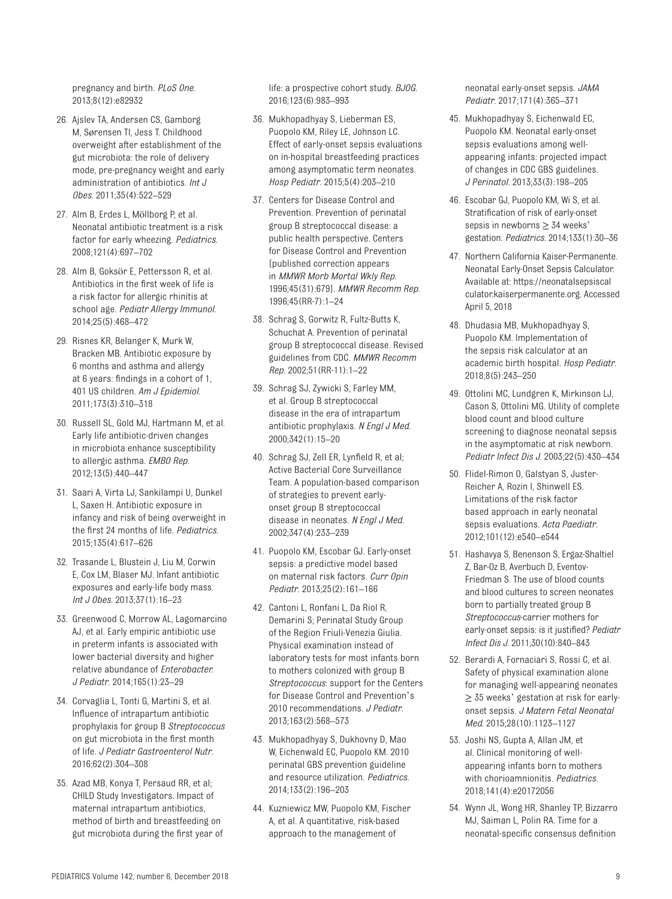pregnancy and birth. *PLoS One*. 2013;8(12):e82932

- <span id="page-8-0"></span>26. Ajslev TA, Andersen CS, Gamborg M, Sørensen TI, Jess T. Childhood overweight after establishment of the gut microbiota: the role of delivery mode, pre-pregnancy weight and early administration of antibiotics. *Int J Obes*. 2011;35(4):522–529
- 27. Alm B, Erdes L, Möllborg P, et al. Neonatal antibiotic treatment is a risk factor for early wheezing. *Pediatrics*. 2008;121(4):697–702
- 28. Alm B, Goksör E, Pettersson R, et al. Antibiotics in the first week of life is a risk factor for allergic rhinitis at school age. *Pediatr Allergy Immunol*. 2014;25(5):468–472
- 29. Risnes KR, Belanger K, Murk W, Bracken MB. Antibiotic exposure by 6 months and asthma and allergy at 6 years: findings in a cohort of 1, 401 US children. *Am J Epidemiol*. 2011;173(3):310–318
- 30. Russell SL, Gold MJ, Hartmann M, et al. Early life antibiotic-driven changes in microbiota enhance susceptibility to allergic asthma. *EMBO Rep*. 2012;13(5):440–447
- 31. Saari A, Virta LJ, Sankilampi U, Dunkel L, Saxen H. Antibiotic exposure in infancy and risk of being overweight in the first 24 months of life. *Pediatrics*. 2015;135(4):617–626
- <span id="page-8-1"></span>32. Trasande L, Blustein J, Liu M, Corwin E, Cox LM, Blaser MJ. Infant antibiotic exposures and early-life body mass. *Int J Obes*. 2013;37(1):16–23
- <span id="page-8-2"></span>33. Greenwood C, Morrow AL, Lagomarcino AJ, et al. Early empiric antibiotic use in preterm infants is associated with lower bacterial diversity and higher relative abundance of *Enterobacter. J Pediatr*. 2014;165(1):23–29
- <span id="page-8-4"></span>34. Corvaglia L, Tonti G, Martini S, et al. Influence of intrapartum antibiotic prophylaxis for group B *Streptococcus* on gut microbiota in the first month of life. *J Pediatr Gastroenterol Nutr*. 2016;62(2):304–308
- <span id="page-8-3"></span>35. Azad MB, Konya T, Persaud RR, et al; CHILD Study Investigators. Impact of maternal intrapartum antibiotics, method of birth and breastfeeding on gut microbiota during the first year of

life: a prospective cohort study. *BJOG*. 2016;123(6):983–993

- <span id="page-8-5"></span>36. Mukhopadhyay S, Lieberman ES, Puopolo KM, Riley LE, Johnson LC. Effect of early-onset sepsis evaluations on in-hospital breastfeeding practices among asymptomatic term neonates. *Hosp Pediatr*. 2015;5(4):203–210
- <span id="page-8-6"></span>37. Centers for Disease Control and Prevention. Prevention of perinatal group B streptococcal disease: a public health perspective. Centers for Disease Control and Prevention [published correction appears in *MMWR Morb Mortal Wkly Rep*. 1996;45(31):679]. *MMWR Recomm Rep*. 1996;45(RR-7):1–24
- <span id="page-8-7"></span>38. Schrag S, Gorwitz R, Fultz-Butts K, Schuchat A. Prevention of perinatal group B streptococcal disease. Revised guidelines from CDC. *MMWR Recomm Rep*. 2002;51(RR-11):1–22
- <span id="page-8-8"></span>39. Schrag SJ, Zywicki S, Farley MM, et al. Group B streptococcal disease in the era of intrapartum antibiotic prophylaxis. *N Engl J Med*. 2000;342(1):15–20
- 40. Schrag SJ, Zell ER, Lynfield R, et al; Active Bacterial Core Surveillance Team. A population-based comparison of strategies to prevent earlyonset group B streptococcal disease in neonates. *N Engl J Med*. 2002;347(4):233–239
- 41. Puopolo KM, Escobar GJ. Early-onset sepsis: a predictive model based on maternal risk factors. *Curr Opin Pediatr*. 2013;25(2):161–166
- <span id="page-8-14"></span>42. Cantoni L, Ronfani L, Da Riol R, Demarini S; Perinatal Study Group of the Region Friuli-Venezia Giulia. Physical examination instead of laboratory tests for most infants born to mothers colonized with group B *Streptococcus*: support for the Centers for Disease Control and Prevention's 2010 recommendations. *J Pediatr*. 2013;163(2):568–573
- 43. Mukhopadhyay S, Dukhovny D, Mao W, Eichenwald EC, Puopolo KM. 2010 perinatal GBS prevention guideline and resource utilization. *Pediatrics*. 2014;133(2):196–203
- <span id="page-8-12"></span>44. Kuzniewicz MW, Puopolo KM, Fischer A, et al. A quantitative, risk-based approach to the management of

neonatal early-onset sepsis. *JAMA Pediatr*. 2017;171(4):365–371

- <span id="page-8-9"></span>45. Mukhopadhyay S, Eichenwald EC, Puopolo KM. Neonatal early-onset sepsis evaluations among wellappearing infants: projected impact of changes in CDC GBS guidelines. *J Perinatol*. 2013;33(3):198–205
- <span id="page-8-10"></span>46. Escobar GJ, Puopolo KM, Wi S, et al. Stratification of risk of early-onset sepsis in newborns  $\geq$  34 weeks' gestation. *Pediatrics*. 2014;133(1):30–36
- <span id="page-8-11"></span>47. Northern California Kaiser-Permanente. Neonatal Early-Onset Sepsis Calculator. Available at: [https://neonatalsepsiscal](https://neonatalsepsiscalculator.kaiserpermanente.org) [culator.kaiserpermanente.org.](https://neonatalsepsiscalculator.kaiserpermanente.org) Accessed April 5, 2018
- <span id="page-8-13"></span>48. Dhudasia MB, Mukhopadhyay S, Puopolo KM. Implementation of the sepsis risk calculator at an academic birth hospital. *Hosp Pediatr*. 2018;8(5):243–250
- <span id="page-8-15"></span>49. Ottolini MC, Lundgren K, Mirkinson LJ, Cason S, Ottolini MG. Utility of complete blood count and blood culture screening to diagnose neonatal sepsis in the asymptomatic at risk newborn. *Pediatr Infect Dis J*. 2003;22(5):430–434
- 50. Flidel-Rimon O, Galstyan S, Juster-Reicher A, Rozin I, Shinwell ES. Limitations of the risk factor based approach in early neonatal sepsis evaluations. *Acta Paediatr*. 2012;101(12):e540–e544
- 51. Hashavya S, Benenson S, Ergaz-Shaltiel Z, Bar-Oz B, Averbuch D, Eventov-Friedman S. The use of blood counts and blood cultures to screen neonates born to partially treated group B *Streptococcus*-carrier mothers for early-onset sepsis: is it justified? *Pediatr Infect Dis J*. 2011;30(10):840–843
- 52. Berardi A, Fornaciari S, Rossi C, et al. Safety of physical examination alone for managing well-appearing neonates ≥ 35 weeks' gestation at risk for earlyonset sepsis. *J Matern Fetal Neonatal Med*. 2015;28(10):1123–1127
- <span id="page-8-16"></span>53. Joshi NS, Gupta A, Allan JM, et al. Clinical monitoring of wellappearing infants born to mothers with chorioamnionitis. *Pediatrics*. 2018;141(4):e20172056
- <span id="page-8-17"></span>54. Wynn JL, Wong HR, Shanley TP, Bizzarro MJ, Saiman L, Polin RA. Time for a neonatal-specific consensus definition